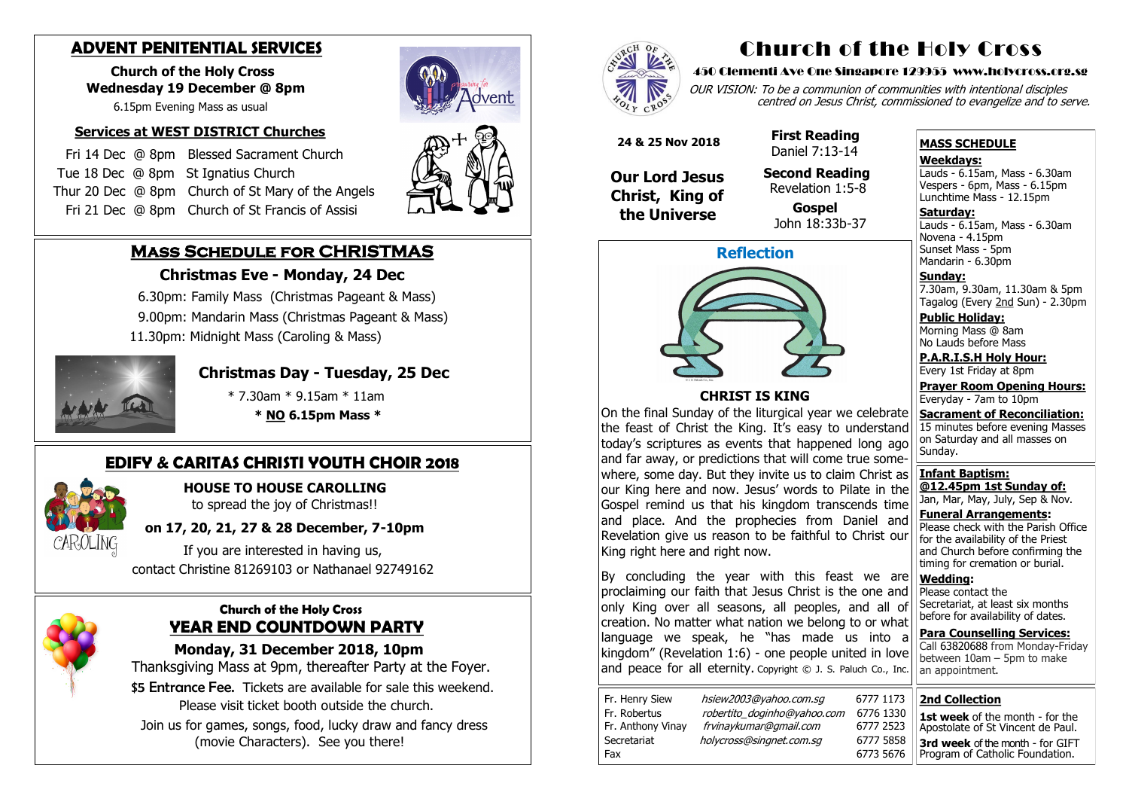# **Mass Schedule for CHRISTMAS**

### **Christmas Eve - Monday, 24 Dec**

- 6.30pm: Family Mass (Christmas Pageant & Mass)
- 9.00pm: Mandarin Mass (Christmas Pageant & Mass)
- 11.30pm: Midnight Mass (Caroling & Mass)



## **Christmas Day - Tuesday, 25 Dec**

- \* 7.30am \* 9.15am \* 11am
- **\* NO 6.15pm Mass \***

#### **Church of the Holy Cross YEAR END COUNTDOWN PARTY**

 **Monday, 31 December 2018, 10pm**

 Thanksgiving Mass at 9pm, thereafter Party at the Foyer. \$5 Entrance Fee. Tickets are available for sale this weekend. Please visit ticket booth outside the church.

 Join us for games, songs, food, lucky draw and fancy dress (movie Characters). See you there!



OUR VISION: To be a communion of communities with intentional disciples centred on Jesus Christ, commissioned to evangelize and to serve.

## **ADVENT PENITENTIAL SERVICES**

 **Church of the Holy Cross Wednesday 19 December @ 8pm**

6.15pm Evening Mass as usual

#### **Services at WEST DISTRICT Churches**

**Saturday:** Lauds - 6.15am, Mass - 6.30am Novena - 4.15pm Sunset Mass - 5pm Mandarin - 6.30pm

 Fri 14 Dec @ 8pm Blessed Sacrament Church Tue 18 Dec @ 8pmSt Ignatius Church Thur 20 Dec @ 8pm Church of St Mary of the Angels Fri 21 Dec @ 8pm Church of St Francis of Assisi

## **EDIFY & CARITAS CHRISTI YOUTH CHOIR 2018**



#### **HOUSE TO HOUSE CAROLLING** to spread the joy of Christmas!!

### **on 17, 20, 21, 27 & 28 December, 7-10pm**

 If you are interested in having us, contact Christine 81269103 or Nathanael 92749162



# Church of the Holy Cross

#### 450 Clementi Ave One Singapore 129955 www.holycross.org.sg

| Fr. Henry Siew    | hsiew2003@yahoo.com.sq      | 6777 1173 |
|-------------------|-----------------------------|-----------|
| Fr. Robertus      | robertito doginho@yahoo.com | 6776 1330 |
| Fr. Anthony Vinay | frvinaykumar@gmail.com      | 6777 2523 |
| Secretariat       | holycross@singnet.com.sq    | 6777 5858 |
| Fax               |                             | 6773 5676 |

By concluding the year with this feast we are proclaiming our faith that Jesus Christ is the one and only King over all seasons, all peoples, and all of creation. No matter what nation we belong to or what language we speak, he "has made us into a kingdom" (Revelation 1:6) - one people united in love and peace for all eternity. Copyright  $\odot$  J. S. Paluch Co., Inc.

#### **MASS SCHEDULE**

**Weekdays:**

Lauds - 6.15am, Mass - 6.30am Vespers - 6pm, Mass - 6.15pm Lunchtime Mass - 12.15pm

**Sunday:** 7.30am, 9.30am, 11.30am & 5pm Tagalog (Every 2nd Sun) - 2.30pm

**Public Holiday:**  Morning Mass @ 8am No Lauds before Mass

**P.A.R.I.S.H Holy Hour:** Every 1st Friday at 8pm

**Prayer Room Opening Hours:** Everyday - 7am to 10pm

**Sacrament of Reconciliation:** 15 minutes before evening Masses on Saturday and all masses on Sunday.

**Infant Baptism: @12.45pm 1st Sunday of:** Jan, Mar, May, July, Sep & Nov.

**Funeral Arrangements:**  Please check with the Parish Office for the availability of the Priest and Church before confirming the timing for cremation or burial.

**Wedding:**  Please contact the Secretariat, at least six months before for availability of dates.

**Para Counselling Services:** Call [63820688](tel:+6563820688) from Monday-Friday between 10am – 5pm to make an appointment.



#### **CHRIST IS KING**

On the final Sunday of the liturgical year we celebrate the feast of Christ the King. It's easy to understand today's scriptures as events that happened long ago and far away, or predictions that will come true somewhere, some day. But they invite us to claim Christ as our King here and now. Jesus' words to Pilate in the Gospel remind us that his kingdom transcends time and place. And the prophecies from Daniel and Revelation give us reason to be faithful to Christ our King right here and right now.

 **24 & 25 Nov 2018**

 **Our Lord Jesus Christ, King of the Universe**

 **First Reading** Daniel 7:13-14

 **Second Reading** Revelation 1:5-8

 **Gospel** John 18:33b-37

#### **2nd Collection**

**1st week** of the month - for the Apostolate of St Vincent de Paul. **3rd week** of the month - for GIFT Program of Catholic Foundation.